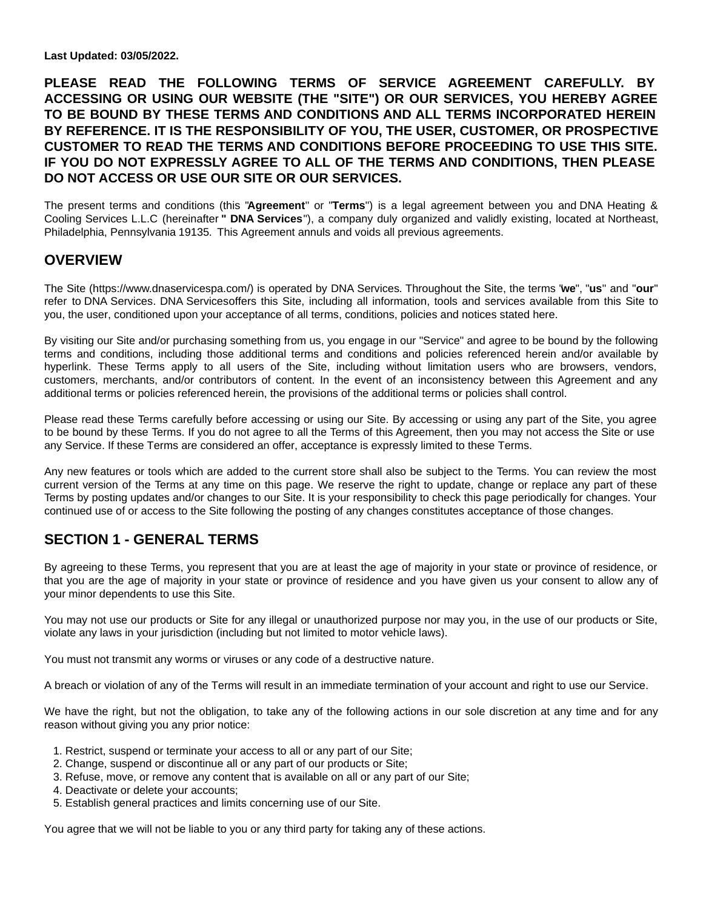**Last Updated: 03/05/2022.**

**PLEASE READ THE FOLLOWING TERMS OF SERVICE AGREEMENT CAREFULLY. BY ACCESSING OR USING OUR WEBSITE (THE "SITE") OR OUR SERVICES, YOU HEREBY AGREE TO BE BOUND BY THESE TERMS AND CONDITIONS AND ALL TERMS INCORPORATED HEREIN BY REFERENCE. IT IS THE RESPONSIBILITY OF YOU, THE USER, CUSTOMER, OR PROSPECTIVE CUSTOMER TO READ THE TERMS AND CONDITIONS BEFORE PROCEEDING TO USE THIS SITE. IF YOU DO NOT EXPRESSLY AGREE TO ALL OF THE TERMS AND CONDITIONS, THEN PLEASE DO NOT ACCESS OR USE OUR SITE OR OUR SERVICES.**

The present terms and conditions (this "**Agreement**" or "**Terms**") is a legal agreement between you and DNA Heating & Cooling Services L.L.C (hereinafter **" DNA Services**"), a company duly organized and validly existing, located at Northeast, Philadelphia, Pennsylvania 19135. This Agreement annuls and voids all previous agreements.

### **OVERVIEW**

The Site (https://www.dnaservicespa.com/) is operated by DNA Services. Throughout the Site, the terms "**we**", "**us**" and "**our**" refer to DNA Services. DNA Servicesoffers this Site, including all information, tools and services available from this Site to you, the user, conditioned upon your acceptance of all terms, conditions, policies and notices stated here.

By visiting our Site and/or purchasing something from us, you engage in our "Service" and agree to be bound by the following terms and conditions, including those additional terms and conditions and policies referenced herein and/or available by hyperlink. These Terms apply to all users of the Site, including without limitation users who are browsers, vendors, customers, merchants, and/or contributors of content. In the event of an inconsistency between this Agreement and any additional terms or policies referenced herein, the provisions of the additional terms or policies shall control.

Please read these Terms carefully before accessing or using our Site. By accessing or using any part of the Site, you agree to be bound by these Terms. If you do not agree to all the Terms of this Agreement, then you may not access the Site or use any Service. If these Terms are considered an offer, acceptance is expressly limited to these Terms.

Any new features or tools which are added to the current store shall also be subject to the Terms. You can review the most current version of the Terms at any time on this page. We reserve the right to update, change or replace any part of these Terms by posting updates and/or changes to our Site. It is your responsibility to check this page periodically for changes. Your continued use of or access to the Site following the posting of any changes constitutes acceptance of those changes.

### **SECTION 1 - GENERAL TERMS**

By agreeing to these Terms, you represent that you are at least the age of majority in your state or province of residence, or that you are the age of majority in your state or province of residence and you have given us your consent to allow any of your minor dependents to use this Site.

You may not use our products or Site for any illegal or unauthorized purpose nor may you, in the use of our products or Site, violate any laws in your jurisdiction (including but not limited to motor vehicle laws).

You must not transmit any worms or viruses or any code of a destructive nature.

A breach or violation of any of the Terms will result in an immediate termination of your account and right to use our Service.

We have the right, but not the obligation, to take any of the following actions in our sole discretion at any time and for any reason without giving you any prior notice:

- 1. Restrict, suspend or terminate your access to all or any part of our Site;
- 2. Change, suspend or discontinue all or any part of our products or Site;
- 3. Refuse, move, or remove any content that is available on all or any part of our Site;
- 4. Deactivate or delete your accounts;
- 5. Establish general practices and limits concerning use of our Site.

You agree that we will not be liable to you or any third party for taking any of these actions.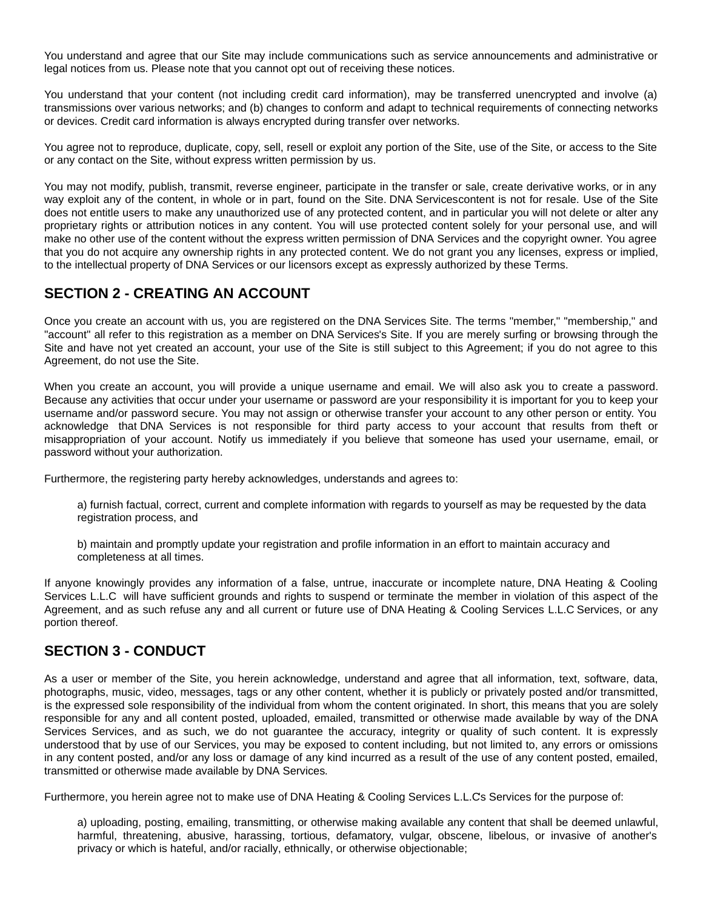You understand and agree that our Site may include communications such as service announcements and administrative or legal notices from us. Please note that you cannot opt out of receiving these notices.

You understand that your content (not including credit card information), may be transferred unencrypted and involve (a) transmissions over various networks; and (b) changes to conform and adapt to technical requirements of connecting networks or devices. Credit card information is always encrypted during transfer over networks.

You agree not to reproduce, duplicate, copy, sell, resell or exploit any portion of the Site, use of the Site, or access to the Site or any contact on the Site, without express written permission by us.

You may not modify, publish, transmit, reverse engineer, participate in the transfer or sale, create derivative works, or in any way exploit any of the content, in whole or in part, found on the Site. DNA Servicescontent is not for resale. Use of the Site does not entitle users to make any unauthorized use of any protected content, and in particular you will not delete or alter any proprietary rights or attribution notices in any content. You will use protected content solely for your personal use, and will make no other use of the content without the express written permission of DNA Services and the copyright owner. You agree that you do not acquire any ownership rights in any protected content. We do not grant you any licenses, express or implied, to the intellectual property of DNA Services or our licensors except as expressly authorized by these Terms.

## **SECTION 2 - CREATING AN ACCOUNT**

Once you create an account with us, you are registered on the DNA Services Site. The terms "member," "membership," and "account" all refer to this registration as a member on DNA Services's Site. If you are merely surfing or browsing through the Site and have not yet created an account, your use of the Site is still subject to this Agreement; if you do not agree to this Agreement, do not use the Site.

When you create an account, you will provide a unique username and email. We will also ask you to create a password. Because any activities that occur under your username or password are your responsibility it is important for you to keep your username and/or password secure. You may not assign or otherwise transfer your account to any other person or entity. You acknowledge that DNA Services is not responsible for third party access to your account that results from theft or misappropriation of your account. Notify us immediately if you believe that someone has used your username, email, or password without your authorization.

Furthermore, the registering party hereby acknowledges, understands and agrees to:

a) furnish factual, correct, current and complete information with regards to yourself as may be requested by the data registration process, and

b) maintain and promptly update your registration and profile information in an effort to maintain accuracy and completeness at all times.

If anyone knowingly provides any information of a false, untrue, inaccurate or incomplete nature, DNA Heating & Cooling Services L.L.C will have sufficient grounds and rights to suspend or terminate the member in violation of this aspect of the Agreement, and as such refuse any and all current or future use of DNA Heating & Cooling Services L.L.C Services, or any portion thereof.

### **SECTION 3 - CONDUCT**

As a user or member of the Site, you herein acknowledge, understand and agree that all information, text, software, data, photographs, music, video, messages, tags or any other content, whether it is publicly or privately posted and/or transmitted, is the expressed sole responsibility of the individual from whom the content originated. In short, this means that you are solely responsible for any and all content posted, uploaded, emailed, transmitted or otherwise made available by way of the DNA Services Services, and as such, we do not guarantee the accuracy, integrity or quality of such content. It is expressly understood that by use of our Services, you may be exposed to content including, but not limited to, any errors or omissions in any content posted, and/or any loss or damage of any kind incurred as a result of the use of any content posted, emailed, transmitted or otherwise made available by DNA Services.

Furthermore, you herein agree not to make use of DNA Heating & Cooling Services L.L.Cs Services for the purpose of:

a) uploading, posting, emailing, transmitting, or otherwise making available any content that shall be deemed unlawful, harmful, threatening, abusive, harassing, tortious, defamatory, vulgar, obscene, libelous, or invasive of another's privacy or which is hateful, and/or racially, ethnically, or otherwise objectionable;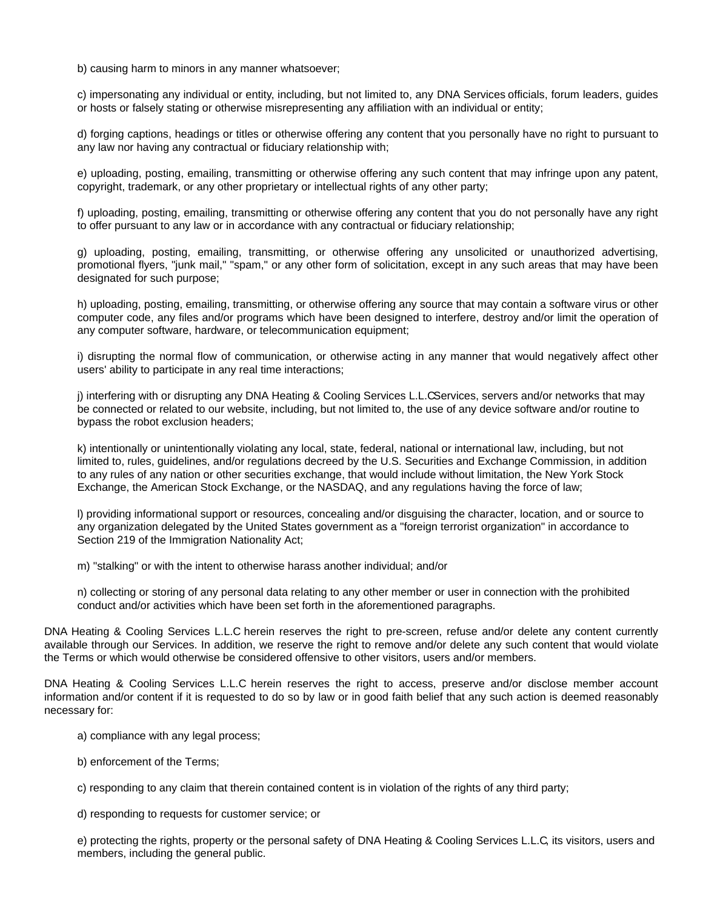b) causing harm to minors in any manner whatsoever;

c) impersonating any individual or entity, including, but not limited to, any DNA Services officials, forum leaders, guides or hosts or falsely stating or otherwise misrepresenting any affiliation with an individual or entity;

d) forging captions, headings or titles or otherwise offering any content that you personally have no right to pursuant to any law nor having any contractual or fiduciary relationship with;

e) uploading, posting, emailing, transmitting or otherwise offering any such content that may infringe upon any patent, copyright, trademark, or any other proprietary or intellectual rights of any other party;

f) uploading, posting, emailing, transmitting or otherwise offering any content that you do not personally have any right to offer pursuant to any law or in accordance with any contractual or fiduciary relationship;

g) uploading, posting, emailing, transmitting, or otherwise offering any unsolicited or unauthorized advertising, promotional flyers, "junk mail," "spam," or any other form of solicitation, except in any such areas that may have been designated for such purpose;

h) uploading, posting, emailing, transmitting, or otherwise offering any source that may contain a software virus or other computer code, any files and/or programs which have been designed to interfere, destroy and/or limit the operation of any computer software, hardware, or telecommunication equipment;

i) disrupting the normal flow of communication, or otherwise acting in any manner that would negatively affect other users' ability to participate in any real time interactions;

j) interfering with or disrupting any DNA Heating & Cooling Services L.L.CServices, servers and/or networks that may be connected or related to our website, including, but not limited to, the use of any device software and/or routine to bypass the robot exclusion headers;

k) intentionally or unintentionally violating any local, state, federal, national or international law, including, but not limited to, rules, guidelines, and/or regulations decreed by the U.S. Securities and Exchange Commission, in addition to any rules of any nation or other securities exchange, that would include without limitation, the New York Stock Exchange, the American Stock Exchange, or the NASDAQ, and any regulations having the force of law;

l) providing informational support or resources, concealing and/or disguising the character, location, and or source to any organization delegated by the United States government as a "foreign terrorist organization" in accordance to Section 219 of the Immigration Nationality Act;

m) "stalking" or with the intent to otherwise harass another individual; and/or

n) collecting or storing of any personal data relating to any other member or user in connection with the prohibited conduct and/or activities which have been set forth in the aforementioned paragraphs.

DNA Heating & Cooling Services L.L.C herein reserves the right to pre-screen, refuse and/or delete any content currently available through our Services. In addition, we reserve the right to remove and/or delete any such content that would violate the Terms or which would otherwise be considered offensive to other visitors, users and/or members.

DNA Heating & Cooling Services L.L.C herein reserves the right to access, preserve and/or disclose member account information and/or content if it is requested to do so by law or in good faith belief that any such action is deemed reasonably necessary for:

a) compliance with any legal process;

- b) enforcement of the Terms;
- c) responding to any claim that therein contained content is in violation of the rights of any third party;
- d) responding to requests for customer service; or

e) protecting the rights, property or the personal safety of DNA Heating & Cooling Services L.L.C, its visitors, users and members, including the general public.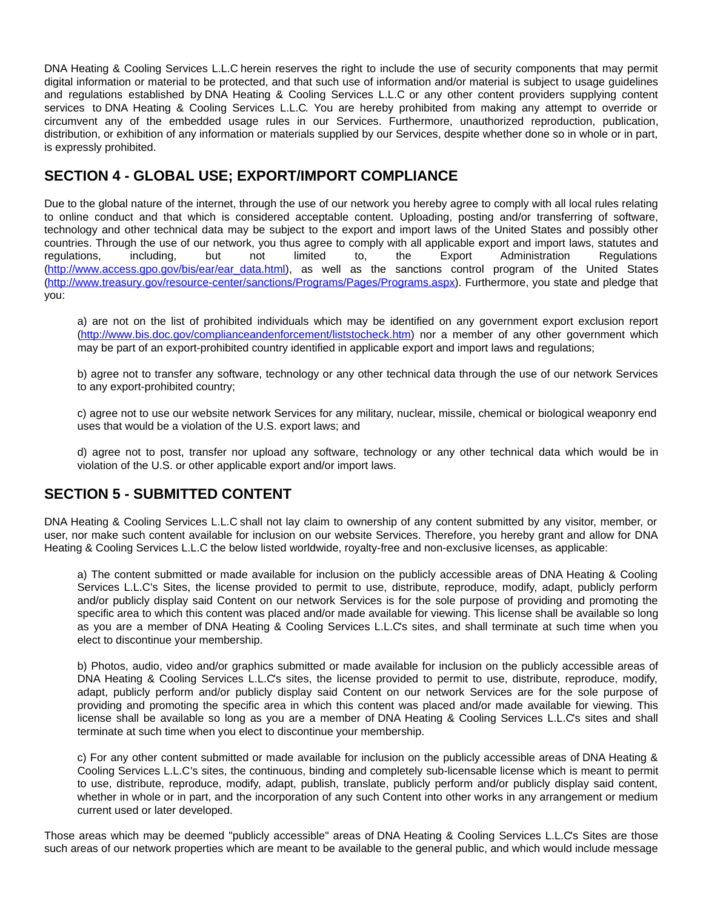DNA Heating & Cooling Services L.L.C herein reserves the right to include the use of security components that may permit digital information or material to be protected, and that such use of information and/or material is subject to usage guidelines and regulations established by DNA Heating & Cooling Services L.L.C or any other content providers supplying content services to DNA Heating & Cooling Services L.L.C. You are hereby prohibited from making any attempt to override or circumvent any of the embedded usage rules in our Services. Furthermore, unauthorized reproduction, publication, distribution, or exhibition of any information or materials supplied by our Services, despite whether done so in whole or in part, is expressly prohibited.

### **SECTION 4 - GLOBAL USE; EXPORT/IMPORT COMPLIANCE**

Due to the global nature of the internet, through the use of our network you hereby agree to comply with all local rules relating to online conduct and that which is considered acceptable content. Uploading, posting and/or transferring of software, technology and other technical data may be subject to the export and import laws of the United States and possibly other countries. Through the use of our network, you thus agree to comply with all applicable export and import laws, statutes and<br>requlations. including. but not limited to, the regulations, including, but not limited to, the Export Administration Regulations [\(http://www.access.gpo.gov/bis/ear/ear\\_data.html](http://www.access.gpo.gov/bis/ear/ear_data.html)), as well as the sanctions control program of the United States [\(http://www.treasury.gov/resource-center/sanctions/Programs/Pages/Programs.aspx](http://www.treasury.gov/resource-center/sanctions/Programs/Pages/Programs.aspx)). Furthermore, you state and pledge that you:

a) are not on the list of prohibited individuals which may be identified on any government export exclusion report [\(http://www.bis.doc.gov/complianceandenforcement/liststocheck.htm](http://www.bis.doc.gov/complianceandenforcement/liststocheck.htm)) nor a member of any other government which may be part of an export-prohibited country identified in applicable export and import laws and regulations;

b) agree not to transfer any software, technology or any other technical data through the use of our network Services to any export-prohibited country;

c) agree not to use our website network Services for any military, nuclear, missile, chemical or biological weaponry end uses that would be a violation of the U.S. export laws; and

d) agree not to post, transfer nor upload any software, technology or any other technical data which would be in violation of the U.S. or other applicable export and/or import laws.

### **SECTION 5 - SUBMITTED CONTENT**

DNA Heating & Cooling Services L.L.C shall not lay claim to ownership of any content submitted by any visitor, member, or user, nor make such content available for inclusion on our website Services. Therefore, you hereby grant and allow for DNA Heating & Cooling Services L.L.C the below listed worldwide, royalty-free and non-exclusive licenses, as applicable:

a) The content submitted or made available for inclusion on the publicly accessible areas of DNA Heating & Cooling Services L.L.C's Sites, the license provided to permit to use, distribute, reproduce, modify, adapt, publicly perform and/or publicly display said Content on our network Services is for the sole purpose of providing and promoting the specific area to which this content was placed and/or made available for viewing. This license shall be available so long as you are a member of DNA Heating & Cooling Services L.L.C's sites, and shall terminate at such time when you elect to discontinue your membership.

b) Photos, audio, video and/or graphics submitted or made available for inclusion on the publicly accessible areas of DNA Heating & Cooling Services L.L.C's sites, the license provided to permit to use, distribute, reproduce, modify, adapt, publicly perform and/or publicly display said Content on our network Services are for the sole purpose of providing and promoting the specific area in which this content was placed and/or made available for viewing. This license shall be available so long as you are a member of DNA Heating & Cooling Services L.L.C's sites and shall terminate at such time when you elect to discontinue your membership.

c) For any other content submitted or made available for inclusion on the publicly accessible areas of DNA Heating & Cooling Services L.L.C's sites, the continuous, binding and completely sub-licensable license which is meant to permit to use, distribute, reproduce, modify, adapt, publish, translate, publicly perform and/or publicly display said content, whether in whole or in part, and the incorporation of any such Content into other works in any arrangement or medium current used or later developed.

Those areas which may be deemed "publicly accessible" areas of DNA Heating & Cooling Services L.L.C's Sites are those such areas of our network properties which are meant to be available to the general public, and which would include message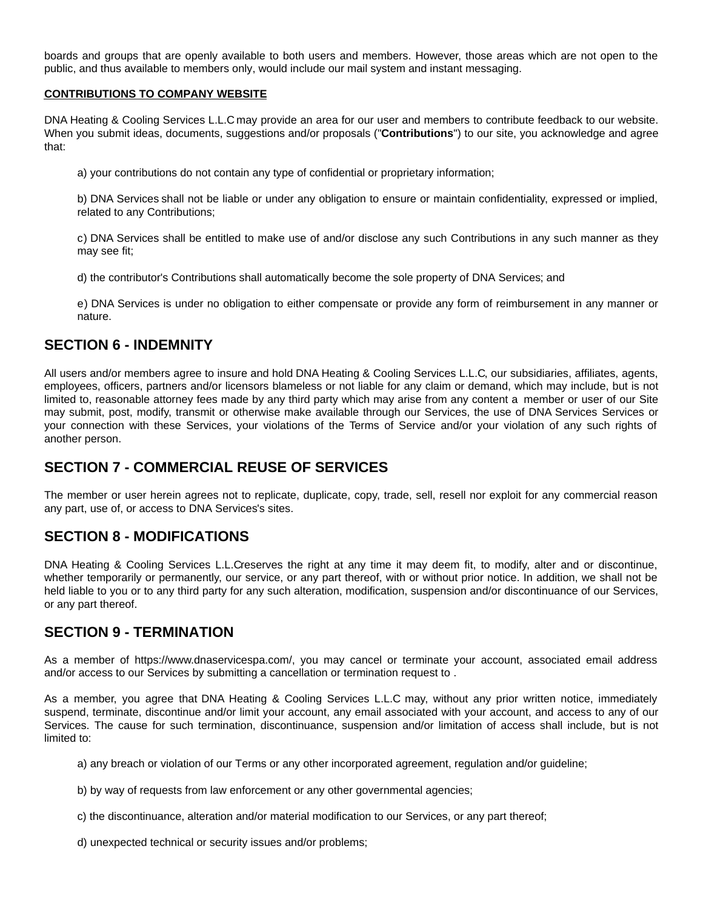boards and groups that are openly available to both users and members. However, those areas which are not open to the public, and thus available to members only, would include our mail system and instant messaging.

#### **CONTRIBUTIONS TO COMPANY WEBSITE**

DNA Heating & Cooling Services L.L.C may provide an area for our user and members to contribute feedback to our website. When you submit ideas, documents, suggestions and/or proposals ("**Contributions**") to our site, you acknowledge and agree that:

a) your contributions do not contain any type of confidential or proprietary information;

b) DNA Services shall not be liable or under any obligation to ensure or maintain confidentiality, expressed or implied, related to any Contributions;

c) DNA Services shall be entitled to make use of and/or disclose any such Contributions in any such manner as they may see fit;

d) the contributor's Contributions shall automatically become the sole property of DNA Services; and

e) DNA Services is under no obligation to either compensate or provide any form of reimbursement in any manner or nature.

#### **SECTION 6 - INDEMNITY**

All users and/or members agree to insure and hold DNA Heating & Cooling Services L.L.C, our subsidiaries, affiliates, agents, employees, officers, partners and/or licensors blameless or not liable for any claim or demand, which may include, but is not limited to, reasonable attorney fees made by any third party which may arise from any content a member or user of our Site may submit, post, modify, transmit or otherwise make available through our Services, the use of DNA Services Services or your connection with these Services, your violations of the Terms of Service and/or your violation of any such rights of another person.

### **SECTION 7 - COMMERCIAL REUSE OF SERVICES**

The member or user herein agrees not to replicate, duplicate, copy, trade, sell, resell nor exploit for any commercial reason any part, use of, or access to DNA Services's sites.

### **SECTION 8 - MODIFICATIONS**

DNA Heating & Cooling Services L.L.Creserves the right at any time it may deem fit, to modify, alter and or discontinue, whether temporarily or permanently, our service, or any part thereof, with or without prior notice. In addition, we shall not be held liable to you or to any third party for any such alteration, modification, suspension and/or discontinuance of our Services, or any part thereof.

#### **SECTION 9 - TERMINATION**

As a member of https://www.dnaservicespa.com/, you may cancel or terminate your account, associated email address and/or access to our Services by submitting a cancellation or termination request to .

As a member, you agree that DNA Heating & Cooling Services L.L.C may, without any prior written notice, immediately suspend, terminate, discontinue and/or limit your account, any email associated with your account, and access to any of our Services. The cause for such termination, discontinuance, suspension and/or limitation of access shall include, but is not limited to:

a) any breach or violation of our Terms or any other incorporated agreement, regulation and/or guideline;

- b) by way of requests from law enforcement or any other governmental agencies;
- c) the discontinuance, alteration and/or material modification to our Services, or any part thereof;
- d) unexpected technical or security issues and/or problems;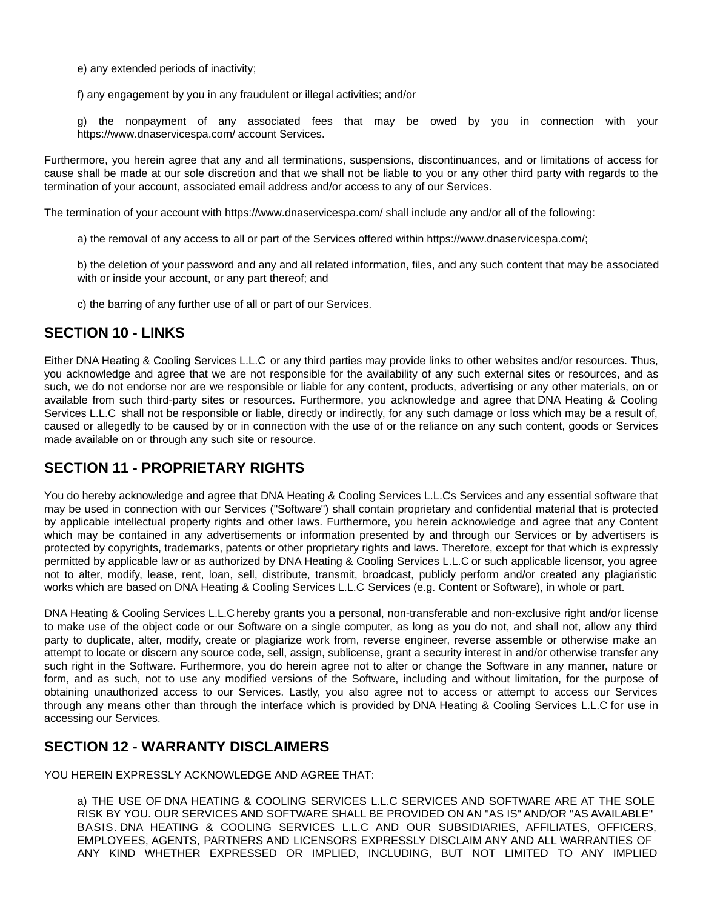e) any extended periods of inactivity;

f) any engagement by you in any fraudulent or illegal activities; and/or

g) the nonpayment of any associated fees that may be owed by you in connection with your https://www.dnaservicespa.com/ account Services.

Furthermore, you herein agree that any and all terminations, suspensions, discontinuances, and or limitations of access for cause shall be made at our sole discretion and that we shall not be liable to you or any other third party with regards to the termination of your account, associated email address and/or access to any of our Services.

The termination of your account with https://www.dnaservicespa.com/ shall include any and/or all of the following:

a) the removal of any access to all or part of the Services offered within https://www.dnaservicespa.com/;

b) the deletion of your password and any and all related information, files, and any such content that may be associated with or inside your account, or any part thereof; and

c) the barring of any further use of all or part of our Services.

### **SECTION 10 - LINKS**

Either DNA Heating & Cooling Services L.L.C or any third parties may provide links to other websites and/or resources. Thus, you acknowledge and agree that we are not responsible for the availability of any such external sites or resources, and as such, we do not endorse nor are we responsible or liable for any content, products, advertising or any other materials, on or available from such third-party sites or resources. Furthermore, you acknowledge and agree that DNA Heating & Cooling Services L.L.C shall not be responsible or liable, directly or indirectly, for any such damage or loss which may be a result of, caused or allegedly to be caused by or in connection with the use of or the reliance on any such content, goods or Services made available on or through any such site or resource.

### **SECTION 11 - PROPRIETARY RIGHTS**

You do hereby acknowledge and agree that DNA Heating & Cooling Services L.L.C's Services and any essential software that may be used in connection with our Services ("Software") shall contain proprietary and confidential material that is protected by applicable intellectual property rights and other laws. Furthermore, you herein acknowledge and agree that any Content which may be contained in any advertisements or information presented by and through our Services or by advertisers is protected by copyrights, trademarks, patents or other proprietary rights and laws. Therefore, except for that which is expressly permitted by applicable law or as authorized by DNA Heating & Cooling Services L.L.C or such applicable licensor, you agree not to alter, modify, lease, rent, loan, sell, distribute, transmit, broadcast, publicly perform and/or created any plagiaristic works which are based on DNA Heating & Cooling Services L.L.C Services (e.g. Content or Software), in whole or part.

DNA Heating & Cooling Services L.L.C hereby grants you a personal, non-transferable and non-exclusive right and/or license to make use of the object code or our Software on a single computer, as long as you do not, and shall not, allow any third party to duplicate, alter, modify, create or plagiarize work from, reverse engineer, reverse assemble or otherwise make an attempt to locate or discern any source code, sell, assign, sublicense, grant a security interest in and/or otherwise transfer any such right in the Software. Furthermore, you do herein agree not to alter or change the Software in any manner, nature or form, and as such, not to use any modified versions of the Software, including and without limitation, for the purpose of obtaining unauthorized access to our Services. Lastly, you also agree not to access or attempt to access our Services through any means other than through the interface which is provided by DNA Heating & Cooling Services L.L.C for use in accessing our Services.

#### **SECTION 12 - WARRANTY DISCLAIMERS**

YOU HEREIN EXPRESSLY ACKNOWLEDGE AND AGREE THAT:

a) THE USE OF DNA HEATING & COOLING SERVICES L.L.C SERVICES AND SOFTWARE ARE AT THE SOLE RISK BY YOU. OUR SERVICES AND SOFTWARE SHALL BE PROVIDED ON AN "AS IS" AND/OR "AS AVAILABLE" BASIS. DNA HEATING & COOLING SERVICES L.L.C AND OUR SUBSIDIARIES, AFFILIATES, OFFICERS, EMPLOYEES, AGENTS, PARTNERS AND LICENSORS EXPRESSLY DISCLAIM ANY AND ALL WARRANTIES OF ANY KIND WHETHER EXPRESSED OR IMPLIED, INCLUDING, BUT NOT LIMITED TO ANY IMPLIED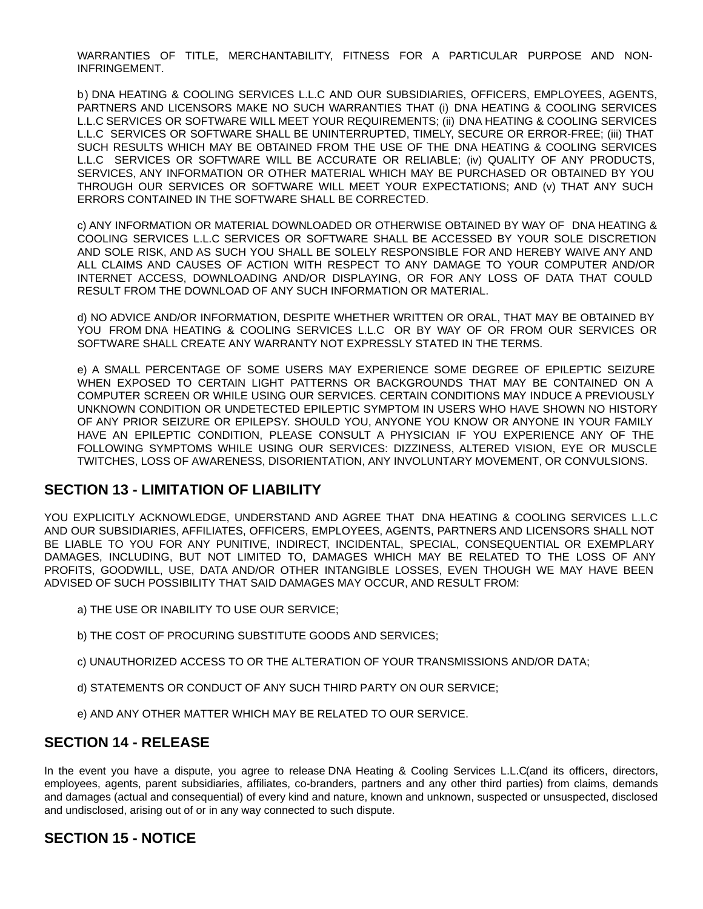WARRANTIES OF TITLE, MERCHANTABILITY, FITNESS FOR A PARTICULAR PURPOSE AND NON-INFRINGEMENT.

b) DNA HEATING & COOLING SERVICES L.L.C AND OUR SUBSIDIARIES, OFFICERS, EMPLOYEES, AGENTS, PARTNERS AND LICENSORS MAKE NO SUCH WARRANTIES THAT (i) DNA HEATING & COOLING SERVICES L.L.C SERVICES OR SOFTWARE WILL MEET YOUR REQUIREMENTS; (ii) DNA HEATING & COOLING SERVICES L.L.C SERVICES OR SOFTWARE SHALL BE UNINTERRUPTED, TIMELY, SECURE OR ERROR-FREE; (iii) THAT SUCH RESULTS WHICH MAY BE OBTAINED FROM THE USE OF THE DNA HEATING & COOLING SERVICES L.L.C SERVICES OR SOFTWARE WILL BE ACCURATE OR RELIABLE; (iv) QUALITY OF ANY PRODUCTS, SERVICES, ANY INFORMATION OR OTHER MATERIAL WHICH MAY BE PURCHASED OR OBTAINED BY YOU THROUGH OUR SERVICES OR SOFTWARE WILL MEET YOUR EXPECTATIONS; AND (v) THAT ANY SUCH ERRORS CONTAINED IN THE SOFTWARE SHALL BE CORRECTED.

c) ANY INFORMATION OR MATERIAL DOWNLOADED OR OTHERWISE OBTAINED BY WAY OF DNA HEATING & COOLING SERVICES L.L.C SERVICES OR SOFTWARE SHALL BE ACCESSED BY YOUR SOLE DISCRETION AND SOLE RISK, AND AS SUCH YOU SHALL BE SOLELY RESPONSIBLE FOR AND HEREBY WAIVE ANY AND ALL CLAIMS AND CAUSES OF ACTION WITH RESPECT TO ANY DAMAGE TO YOUR COMPUTER AND/OR INTERNET ACCESS, DOWNLOADING AND/OR DISPLAYING, OR FOR ANY LOSS OF DATA THAT COULD RESULT FROM THE DOWNLOAD OF ANY SUCH INFORMATION OR MATERIAL.

d) NO ADVICE AND/OR INFORMATION, DESPITE WHETHER WRITTEN OR ORAL, THAT MAY BE OBTAINED BY YOU FROM DNA HEATING & COOLING SERVICES L.L.C OR BY WAY OF OR FROM OUR SERVICES OR SOFTWARE SHALL CREATE ANY WARRANTY NOT EXPRESSLY STATED IN THE TERMS.

e) A SMALL PERCENTAGE OF SOME USERS MAY EXPERIENCE SOME DEGREE OF EPILEPTIC SEIZURE WHEN EXPOSED TO CERTAIN LIGHT PATTERNS OR BACKGROUNDS THAT MAY BE CONTAINED ON A COMPUTER SCREEN OR WHILE USING OUR SERVICES. CERTAIN CONDITIONS MAY INDUCE A PREVIOUSLY UNKNOWN CONDITION OR UNDETECTED EPILEPTIC SYMPTOM IN USERS WHO HAVE SHOWN NO HISTORY OF ANY PRIOR SEIZURE OR EPILEPSY. SHOULD YOU, ANYONE YOU KNOW OR ANYONE IN YOUR FAMILY HAVE AN EPILEPTIC CONDITION, PLEASE CONSULT A PHYSICIAN IF YOU EXPERIENCE ANY OF THE FOLLOWING SYMPTOMS WHILE USING OUR SERVICES: DIZZINESS, ALTERED VISION, EYE OR MUSCLE TWITCHES, LOSS OF AWARENESS, DISORIENTATION, ANY INVOLUNTARY MOVEMENT, OR CONVULSIONS.

#### **SECTION 13 - LIMITATION OF LIABILITY**

YOU EXPLICITLY ACKNOWLEDGE, UNDERSTAND AND AGREE THAT DNA HEATING & COOLING SERVICES L.L.C AND OUR SUBSIDIARIES, AFFILIATES, OFFICERS, EMPLOYEES, AGENTS, PARTNERS AND LICENSORS SHALL NOT BE LIABLE TO YOU FOR ANY PUNITIVE, INDIRECT, INCIDENTAL, SPECIAL, CONSEQUENTIAL OR EXEMPLARY DAMAGES, INCLUDING, BUT NOT LIMITED TO, DAMAGES WHICH MAY BE RELATED TO THE LOSS OF ANY PROFITS, GOODWILL, USE, DATA AND/OR OTHER INTANGIBLE LOSSES, EVEN THOUGH WE MAY HAVE BEEN ADVISED OF SUCH POSSIBILITY THAT SAID DAMAGES MAY OCCUR, AND RESULT FROM:

- a) THE USE OR INABILITY TO USE OUR SERVICE;
- b) THE COST OF PROCURING SUBSTITUTE GOODS AND SERVICES;
- c) UNAUTHORIZED ACCESS TO OR THE ALTERATION OF YOUR TRANSMISSIONS AND/OR DATA;
- d) STATEMENTS OR CONDUCT OF ANY SUCH THIRD PARTY ON OUR SERVICE;
- e) AND ANY OTHER MATTER WHICH MAY BE RELATED TO OUR SERVICE.

#### **SECTION 14 - RELEASE**

In the event you have a dispute, you agree to release DNA Heating & Cooling Services L.L.C(and its officers, directors, employees, agents, parent subsidiaries, affiliates, co-branders, partners and any other third parties) from claims, demands and damages (actual and consequential) of every kind and nature, known and unknown, suspected or unsuspected, disclosed and undisclosed, arising out of or in any way connected to such dispute.

### **SECTION 15 - NOTICE**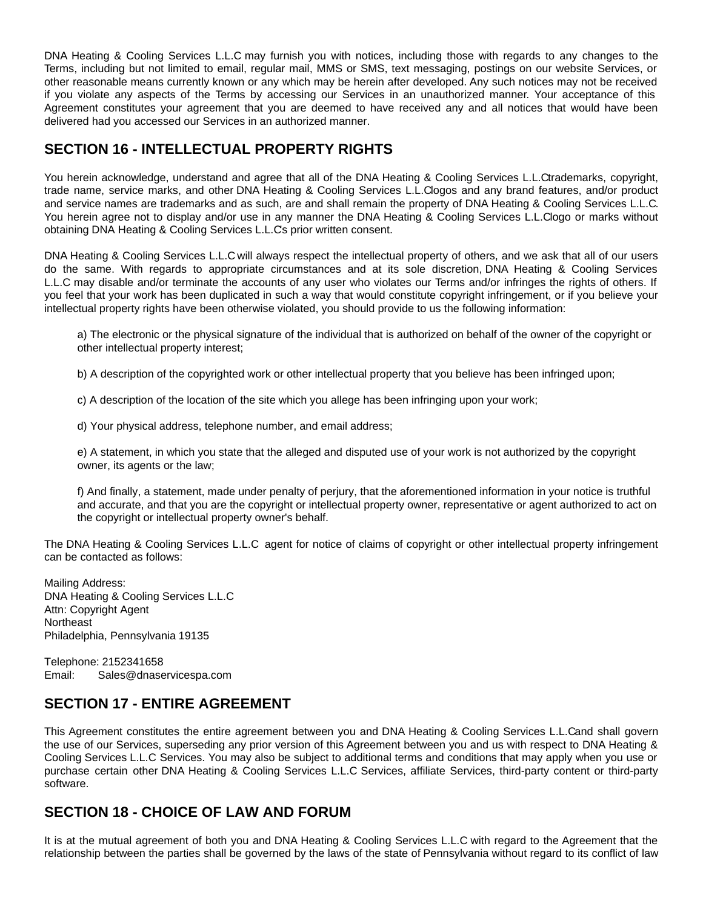DNA Heating & Cooling Services L.L.C may furnish you with notices, including those with regards to any changes to the Terms, including but not limited to email, regular mail, MMS or SMS, text messaging, postings on our website Services, or other reasonable means currently known or any which may be herein after developed. Any such notices may not be received if you violate any aspects of the Terms by accessing our Services in an unauthorized manner. Your acceptance of this Agreement constitutes your agreement that you are deemed to have received any and all notices that would have been delivered had you accessed our Services in an authorized manner.

# **SECTION 16 - INTELLECTUAL PROPERTY RIGHTS**

You herein acknowledge, understand and agree that all of the DNA Heating & Cooling Services L.L.Ctrademarks, copyright, trade name, service marks, and other DNA Heating & Cooling Services L.L.Clogos and any brand features, and/or product and service names are trademarks and as such, are and shall remain the property of DNA Heating & Cooling Services L.L.C. You herein agree not to display and/or use in any manner the DNA Heating & Cooling Services L.L.Clogo or marks without obtaining DNA Heating & Cooling Services L.L.C's prior written consent.

DNA Heating & Cooling Services L.L.C will always respect the intellectual property of others, and we ask that all of our users do the same. With regards to appropriate circumstances and at its sole discretion, DNA Heating & Cooling Services L.L.C may disable and/or terminate the accounts of any user who violates our Terms and/or infringes the rights of others. If you feel that your work has been duplicated in such a way that would constitute copyright infringement, or if you believe your intellectual property rights have been otherwise violated, you should provide to us the following information:

a) The electronic or the physical signature of the individual that is authorized on behalf of the owner of the copyright or other intellectual property interest;

b) A description of the copyrighted work or other intellectual property that you believe has been infringed upon;

c) A description of the location of the site which you allege has been infringing upon your work;

d) Your physical address, telephone number, and email address;

e) A statement, in which you state that the alleged and disputed use of your work is not authorized by the copyright owner, its agents or the law;

f) And finally, a statement, made under penalty of perjury, that the aforementioned information in your notice is truthful and accurate, and that you are the copyright or intellectual property owner, representative or agent authorized to act on the copyright or intellectual property owner's behalf.

The DNA Heating & Cooling Services L.L.C agent for notice of claims of copyright or other intellectual property infringement can be contacted as follows:

Mailing Address: DNA Heating & Cooling Services L.L.C Attn: Copyright Agent **Northeast** Philadelphia, Pennsylvania 19135

Telephone: 2152341658 Email: Sales@dnaservicespa.com

# **SECTION 17 - ENTIRE AGREEMENT**

This Agreement constitutes the entire agreement between you and DNA Heating & Cooling Services L.L.Cand shall govern the use of our Services, superseding any prior version of this Agreement between you and us with respect to DNA Heating & Cooling Services L.L.C Services. You may also be subject to additional terms and conditions that may apply when you use or purchase certain other DNA Heating & Cooling Services L.L.C Services, affiliate Services, third-party content or third-party software.

### **SECTION 18 - CHOICE OF LAW AND FORUM**

It is at the mutual agreement of both you and DNA Heating & Cooling Services L.L.C with regard to the Agreement that the relationship between the parties shall be governed by the laws of the state of Pennsylvania without regard to its conflict of law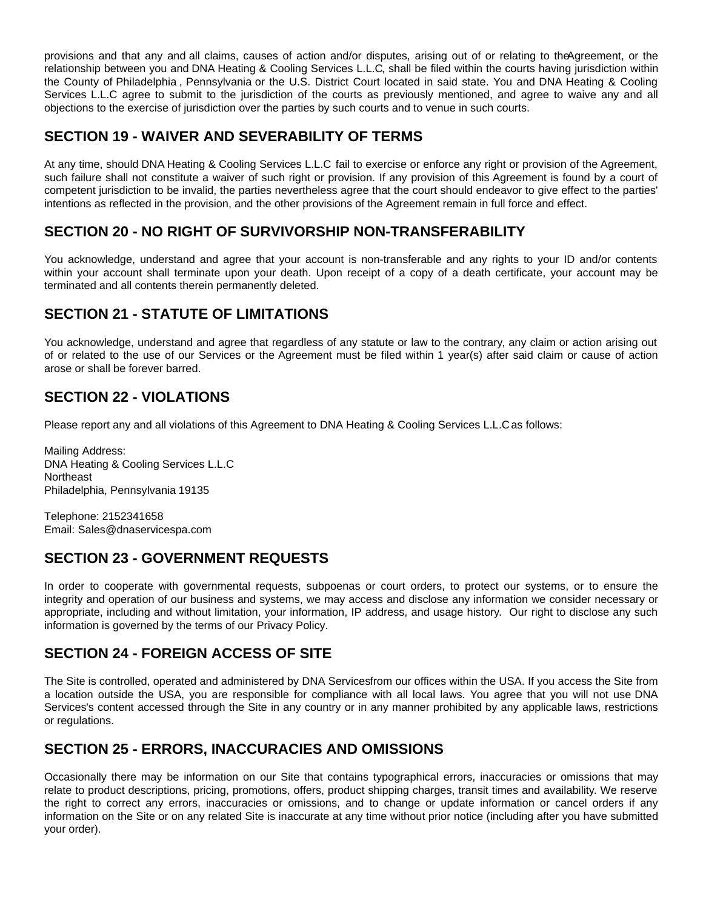provisions and that any and all claims, causes of action and/or disputes, arising out of or relating to theAgreement, or the relationship between you and DNA Heating & Cooling Services L.L.C, shall be filed within the courts having jurisdiction within the County of Philadelphia , Pennsylvania or the U.S. District Court located in said state. You and DNA Heating & Cooling Services L.L.C agree to submit to the jurisdiction of the courts as previously mentioned, and agree to waive any and all objections to the exercise of jurisdiction over the parties by such courts and to venue in such courts.

## **SECTION 19 - WAIVER AND SEVERABILITY OF TERMS**

At any time, should DNA Heating & Cooling Services L.L.C fail to exercise or enforce any right or provision of the Agreement, such failure shall not constitute a waiver of such right or provision. If any provision of this Agreement is found by a court of competent jurisdiction to be invalid, the parties nevertheless agree that the court should endeavor to give effect to the parties' intentions as reflected in the provision, and the other provisions of the Agreement remain in full force and effect.

## **SECTION 20 - NO RIGHT OF SURVIVORSHIP NON-TRANSFERABILITY**

You acknowledge, understand and agree that your account is non-transferable and any rights to your ID and/or contents within your account shall terminate upon your death. Upon receipt of a copy of a death certificate, your account may be terminated and all contents therein permanently deleted.

# **SECTION 21 - STATUTE OF LIMITATIONS**

You acknowledge, understand and agree that regardless of any statute or law to the contrary, any claim or action arising out of or related to the use of our Services or the Agreement must be filed within 1 year(s) after said claim or cause of action arose or shall be forever barred.

## **SECTION 22 - VIOLATIONS**

Please report any and all violations of this Agreement to DNA Heating & Cooling Services L.L.Cas follows:

Mailing Address: DNA Heating & Cooling Services L.L.C Northeast Philadelphia, Pennsylvania 19135

Telephone: 2152341658 Email: Sales@dnaservicespa.com

# **SECTION 23 - GOVERNMENT REQUESTS**

In order to cooperate with governmental requests, subpoenas or court orders, to protect our systems, or to ensure the integrity and operation of our business and systems, we may access and disclose any information we consider necessary or appropriate, including and without limitation, your information, IP address, and usage history. Our right to disclose any such information is governed by the terms of our Privacy Policy.

### **SECTION 24 - FOREIGN ACCESS OF SITE**

The Site is controlled, operated and administered by DNA Servicesfrom our offices within the USA. If you access the Site from a location outside the USA, you are responsible for compliance with all local laws. You agree that you will not use DNA Services's content accessed through the Site in any country or in any manner prohibited by any applicable laws, restrictions or regulations.

# **SECTION 25 - ERRORS, INACCURACIES AND OMISSIONS**

Occasionally there may be information on our Site that contains typographical errors, inaccuracies or omissions that may relate to product descriptions, pricing, promotions, offers, product shipping charges, transit times and availability. We reserve the right to correct any errors, inaccuracies or omissions, and to change or update information or cancel orders if any information on the Site or on any related Site is inaccurate at any time without prior notice (including after you have submitted your order).